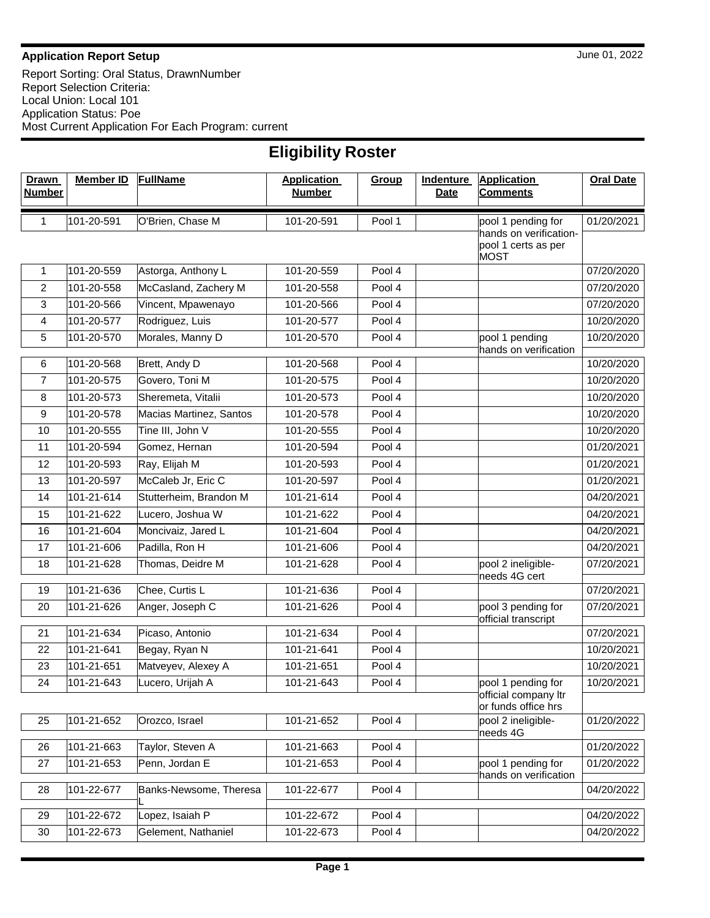## **Application Report Setup** June 01, 2022

Report Sorting: Oral Status, DrawnNumber Report Selection Criteria: Local Union: Local 101 Application Status: Poe Most Current Application For Each Program: current

| <b>Eligibility Roster</b> |  |
|---------------------------|--|
|---------------------------|--|

| <b>Drawn</b><br><b>Number</b> | <b>Member ID</b> | <b>FullName</b>         | <b>Application</b><br><b>Number</b> | Group  | <b>Indenture</b><br><b>Date</b> | <b>Application</b><br><b>Comments</b>                             | <b>Oral Date</b> |
|-------------------------------|------------------|-------------------------|-------------------------------------|--------|---------------------------------|-------------------------------------------------------------------|------------------|
| 1                             | 101-20-591       | O'Brien, Chase M        | 101-20-591                          | Pool 1 |                                 | pool 1 pending for                                                | 01/20/2021       |
|                               |                  |                         |                                     |        |                                 | hands on verification-<br>pool 1 certs as per<br><b>MOST</b>      |                  |
| $\mathbf{1}$                  | 101-20-559       | Astorga, Anthony L      | 101-20-559                          | Pool 4 |                                 |                                                                   | 07/20/2020       |
| $\overline{c}$                | 101-20-558       | McCasland, Zachery M    | 101-20-558                          | Pool 4 |                                 |                                                                   | 07/20/2020       |
| 3                             | 101-20-566       | Vincent, Mpawenayo      | 101-20-566                          | Pool 4 |                                 |                                                                   | 07/20/2020       |
| 4                             | 101-20-577       | Rodriguez, Luis         | 101-20-577                          | Pool 4 |                                 |                                                                   | 10/20/2020       |
| 5                             | 101-20-570       | Morales, Manny D        | 101-20-570                          | Pool 4 |                                 | pool 1 pending<br>hands on verification                           | 10/20/2020       |
| 6                             | 101-20-568       | Brett, Andy D           | 101-20-568                          | Pool 4 |                                 |                                                                   | 10/20/2020       |
| $\overline{7}$                | 101-20-575       | Govero, Toni M          | 101-20-575                          | Pool 4 |                                 |                                                                   | 10/20/2020       |
| 8                             | 101-20-573       | Sheremeta, Vitalii      | 101-20-573                          | Pool 4 |                                 |                                                                   | 10/20/2020       |
| 9                             | 101-20-578       | Macias Martinez, Santos | 101-20-578                          | Pool 4 |                                 |                                                                   | 10/20/2020       |
| 10                            | 101-20-555       | Tine III, John V        | 101-20-555                          | Pool 4 |                                 |                                                                   | 10/20/2020       |
| 11                            | 101-20-594       | Gomez, Hernan           | 101-20-594                          | Pool 4 |                                 |                                                                   | 01/20/2021       |
| 12                            | 101-20-593       | Ray, Elijah M           | 101-20-593                          | Pool 4 |                                 |                                                                   | 01/20/2021       |
| 13                            | 101-20-597       | McCaleb Jr, Eric C      | 101-20-597                          | Pool 4 |                                 |                                                                   | 01/20/2021       |
| 14                            | 101-21-614       | Stutterheim, Brandon M  | 101-21-614                          | Pool 4 |                                 |                                                                   | 04/20/2021       |
| 15                            | 101-21-622       | Lucero, Joshua W        | 101-21-622                          | Pool 4 |                                 |                                                                   | 04/20/2021       |
| 16                            | 101-21-604       | Moncivaiz, Jared L      | 101-21-604                          | Pool 4 |                                 |                                                                   | 04/20/2021       |
| 17                            | 101-21-606       | Padilla, Ron H          | 101-21-606                          | Pool 4 |                                 |                                                                   | 04/20/2021       |
| 18                            | 101-21-628       | Thomas, Deidre M        | 101-21-628                          | Pool 4 |                                 | pool 2 ineligible-<br>needs 4G cert                               | 07/20/2021       |
| 19                            | 101-21-636       | Chee, Curtis L          | 101-21-636                          | Pool 4 |                                 |                                                                   | 07/20/2021       |
| 20                            | 101-21-626       | Anger, Joseph C         | 101-21-626                          | Pool 4 |                                 | pool 3 pending for<br>official transcript                         | 07/20/2021       |
| 21                            | 101-21-634       | Picaso, Antonio         | 101-21-634                          | Pool 4 |                                 |                                                                   | 07/20/2021       |
| 22                            | 101-21-641       | Begay, Ryan N           | 101-21-641                          | Pool 4 |                                 |                                                                   | 10/20/2021       |
| 23                            | 101-21-651       | Matveyev, Alexey A      | 101-21-651                          | Pool 4 |                                 |                                                                   | 10/20/2021       |
| 24                            | 101-21-643       | Lucero, Urijah A        | 101-21-643                          | Pool 4 |                                 | pool 1 pending for<br>official company Itr<br>or funds office hrs | 10/20/2021       |
| 25                            | 101-21-652       | Orozco, Israel          | 101-21-652                          | Pool 4 |                                 | pool 2 ineligible-<br>needs 4G                                    | 01/20/2022       |
| 26                            | 101-21-663       | Taylor, Steven A        | 101-21-663                          | Pool 4 |                                 |                                                                   | 01/20/2022       |
| 27                            | 101-21-653       | Penn, Jordan E          | 101-21-653                          | Pool 4 |                                 | pool 1 pending for<br>hands on verification                       | 01/20/2022       |
| 28                            | 101-22-677       | Banks-Newsome, Theresa  | 101-22-677                          | Pool 4 |                                 |                                                                   | 04/20/2022       |
| 29                            | 101-22-672       | Lopez, Isaiah P         | 101-22-672                          | Pool 4 |                                 |                                                                   | 04/20/2022       |
| 30                            | 101-22-673       | Gelement, Nathaniel     | 101-22-673                          | Pool 4 |                                 |                                                                   | 04/20/2022       |